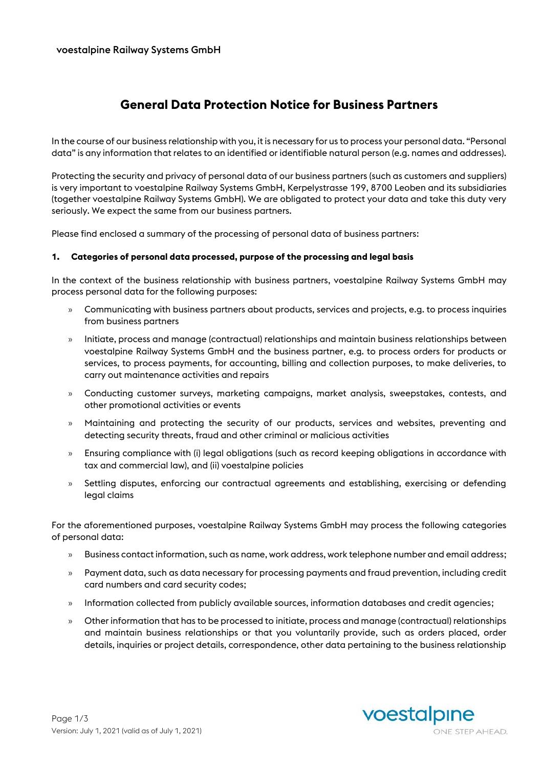# **General Data Protection Notice for Business Partners**

In the course of our business relationship with you, it is necessary for us to process your personal data. "Personal data" is any information that relates to an identified or identifiable natural person (e.g. names and addresses).

Protecting the security and privacy of personal data of our business partners (such as customers and suppliers) is very important to voestalpine Railway Systems GmbH, Kerpelystrasse 199, 8700 Leoben and its subsidiaries (together voestalpine Railway Systems GmbH). We are obligated to protect your data and take this duty very seriously. We expect the same from our business partners.

Please find enclosed a summary of the processing of personal data of business partners:

### **1. Categories of personal data processed, purpose of the processing and legal basis**

In the context of the business relationship with business partners, voestalpine Railway Systems GmbH may process personal data for the following purposes:

- » Communicating with business partners about products, services and projects, e.g. to process inquiries from business partners
- » Initiate, process and manage (contractual) relationships and maintain business relationships between voestalpine Railway Systems GmbH and the business partner, e.g. to process orders for products or services, to process payments, for accounting, billing and collection purposes, to make deliveries, to carry out maintenance activities and repairs
- » Conducting customer surveys, marketing campaigns, market analysis, sweepstakes, contests, and other promotional activities or events
- » Maintaining and protecting the security of our products, services and websites, preventing and detecting security threats, fraud and other criminal or malicious activities
- » Ensuring compliance with (i) legal obligations (such as record keeping obligations in accordance with tax and commercial law), and (ii) voestalpine policies
- » Settling disputes, enforcing our contractual agreements and establishing, exercising or defending legal claims

For the aforementioned purposes, voestalpine Railway Systems GmbH may process the following categories of personal data:

- » Business contact information, such as name, work address, work telephone number and email address;
- » Payment data, such as data necessary for processing payments and fraud prevention, including credit card numbers and card security codes;
- » Information collected from publicly available sources, information databases and credit agencies;
- » Other information that has to be processed to initiate, process and manage (contractual) relationships and maintain business relationships or that you voluntarily provide, such as orders placed, order details, inquiries or project details, correspondence, other data pertaining to the business relationship

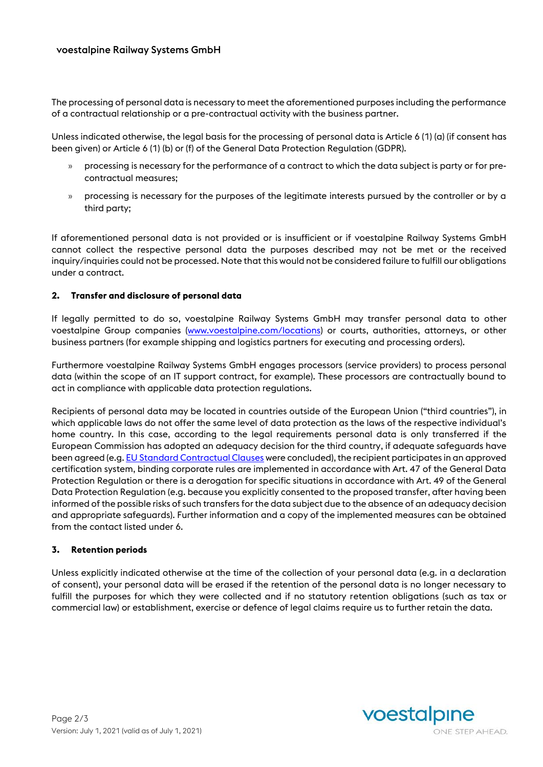The processing of personal data is necessary to meet the aforementioned purposes including the performance of a contractual relationship or a pre-contractual activity with the business partner.

Unless indicated otherwise, the legal basis for the processing of personal data is Article 6 (1) (a) (if consent has been given) or Article 6 (1) (b) or (f) of the General Data Protection Regulation (GDPR).

- » processing is necessary for the performance of a contract to which the data subject is party or for precontractual measures;
- » processing is necessary for the purposes of the legitimate interests pursued by the controller or by a third party;

If aforementioned personal data is not provided or is insufficient or if voestalpine Railway Systems GmbH cannot collect the respective personal data the purposes described may not be met or the received inquiry/inquiries could not be processed. Note that this would not be considered failure to fulfill our obligations under a contract.

### **2. Transfer and disclosure of personal data**

If legally permitted to do so, voestalpine Railway Systems GmbH may transfer personal data to other voestalpine Group companies [\(www.voestalpine.com/locations\)](http://www.voestalpine.com/locations) or courts, authorities, attorneys, or other business partners (for example shipping and logistics partners for executing and processing orders).

Furthermore voestalpine Railway Systems GmbH engages processors (service providers) to process personal data (within the scope of an IT support contract, for example). These processors are contractually bound to act in compliance with applicable data protection regulations.

Recipients of personal data may be located in countries outside of the European Union ("third countries"), in which applicable laws do not offer the same level of data protection as the laws of the respective individual's home country. In this case, according to the legal requirements personal data is only transferred if the European Commission has adopted an adequacy decision for the third country, if adequate safeguards have been agreed (e.g[. EU Standard Contractual Clauses](https://ec.europa.eu/info/law/law-topic/data-protection/data-transfers-outside-eu/model-contracts-transfer-personal-data-third-countries_en) were concluded), the recipient participates in an approved certification system, binding corporate rules are implemented in accordance with Art. 47 of the General Data Protection Regulation or there is a derogation for specific situations in accordance with Art. 49 of the General Data Protection Regulation (e.g. because you explicitly consented to the proposed transfer, after having been informed of the possible risks of such transfers for the data subject due to the absence of an adequacy decision and appropriate safeguards). Further information and a copy of the implemented measures can be obtained from the contact listed under 6.

### **3. Retention periods**

Unless explicitly indicated otherwise at the time of the collection of your personal data (e.g. in a declaration of consent), your personal data will be erased if the retention of the personal data is no longer necessary to fulfill the purposes for which they were collected and if no statutory retention obligations (such as tax or commercial law) or establishment, exercise or defence of legal claims require us to further retain the data.